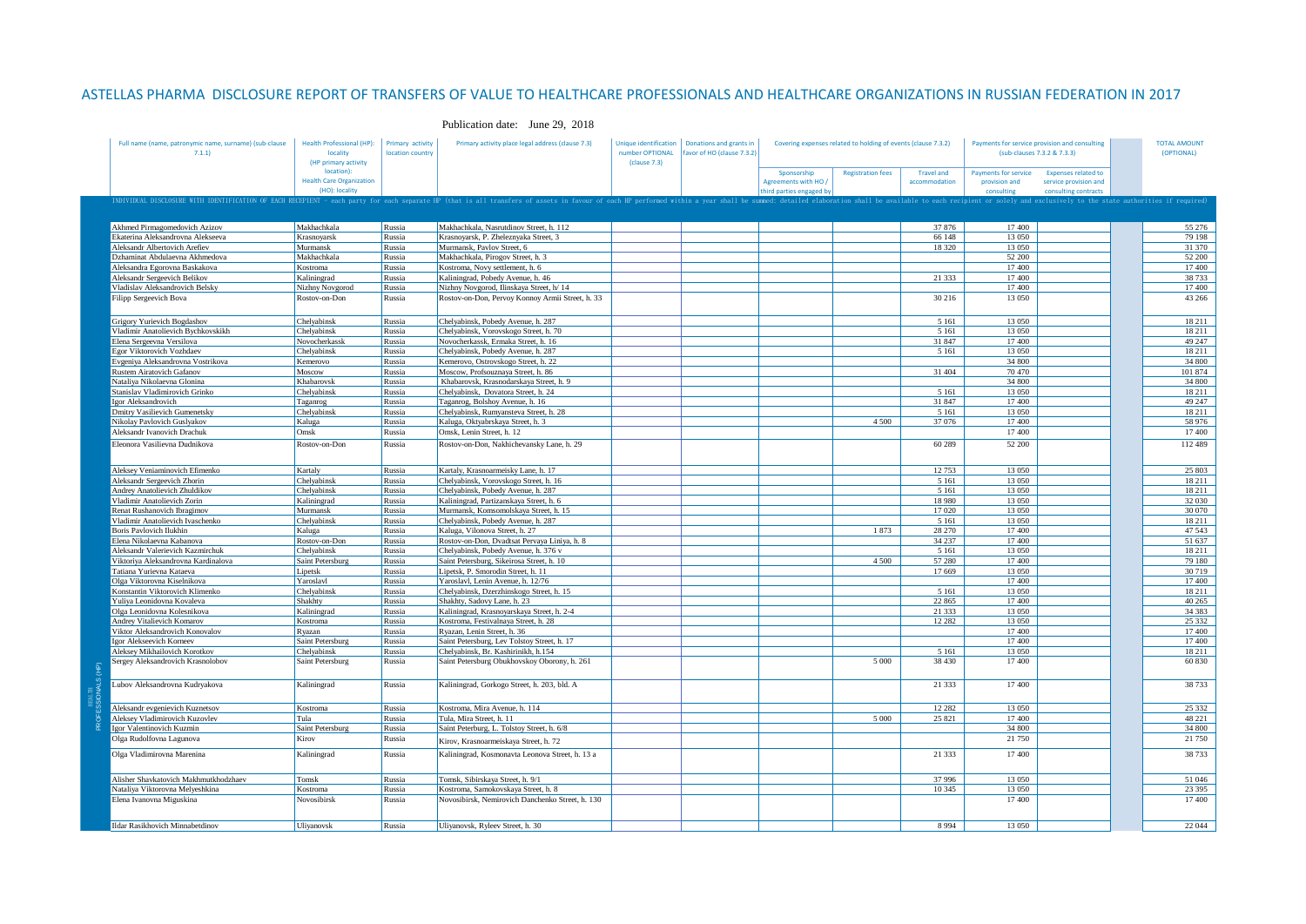## ASTELLAS PHARMA DISCLOSURE REPORT OF TRANSFERS OF VALUE TO HEALTHCARE PROFESSIONALS AND HEALTHCARE ORGANIZATIONS IN RUSSIAN FEDERATION IN 2017

| Full name (name, patronymic name, surname) (sub-clause<br>7.1.1                                                                                                                                                                | <b>Health Professional (HP):</b><br>locality<br>(HP primary activity | Primary activity<br>location country | Primary activity place legal address (clause 7.3)                           | number OPTIONAL<br>(clause 7.3) | Unique identification   Donations and grants in<br>favor of HO (clause 7.3.2) | Covering expenses related to holding of events (clause 7.3.2) |                          |                                    | Payments for service provision and consulting<br>(sub-clauses 7.3.2 & 7.3.3) |                                                                             | <b>TOTAL AMOUNT</b><br>(OPTIONAL) |                  |
|--------------------------------------------------------------------------------------------------------------------------------------------------------------------------------------------------------------------------------|----------------------------------------------------------------------|--------------------------------------|-----------------------------------------------------------------------------|---------------------------------|-------------------------------------------------------------------------------|---------------------------------------------------------------|--------------------------|------------------------------------|------------------------------------------------------------------------------|-----------------------------------------------------------------------------|-----------------------------------|------------------|
|                                                                                                                                                                                                                                | location):<br><b>Health Care Organization</b><br>(HO): locality      |                                      |                                                                             |                                 |                                                                               | Sponsorship<br>Agreements with HO /<br>hird parties engaged b | <b>Registration fees</b> | <b>Travel and</b><br>accommodation | <b>Payments for service</b><br>provision and<br>consultine                   | <b>Expenses related to</b><br>service provision and<br>consulting contracts |                                   |                  |
| INDIVIDUAL DISCLOSURE WITH IDENTIFICATION OF EACH RECEPIENT - each party for each separate HP (that is all transfers of assets in favour of each HP performed within a year shall be summed: detailed elaboration shall be ava |                                                                      |                                      |                                                                             |                                 |                                                                               |                                                               |                          |                                    |                                                                              |                                                                             |                                   |                  |
| Akhmed Pirmagomedovich Azizov                                                                                                                                                                                                  | Makhachkala                                                          | Russia                               | Makhachkala, Nasrutdinov Street, h. 112                                     |                                 |                                                                               |                                                               |                          | 37 876                             | 17400                                                                        |                                                                             |                                   | 55 276           |
| Ekaterina Aleksandrovna Alekseeva                                                                                                                                                                                              | Krasnovarsk                                                          | Russia                               | Krasnoyarsk, P. Zheleznyaka Street, 3                                       |                                 |                                                                               |                                                               |                          | 66 148                             | 13 050                                                                       |                                                                             |                                   | 79 198           |
| Aleksandr Albertovich Arefiev                                                                                                                                                                                                  | Murmansk<br>Makhachkala                                              | Russia                               | Murmansk, Pavlov Street, 6                                                  |                                 |                                                                               |                                                               |                          | 18 3 20                            | 13 050<br>52 200                                                             |                                                                             |                                   | 31 370           |
| Dzhaminat Abdulaevna Akhmedova<br>Aleksandra Egorovna Baskakova                                                                                                                                                                | Kostroma                                                             | Russia<br>Russia                     | Makhachkala, Pirogov Street, h. 3<br>Kostroma, Novy settlement, h. 6        |                                 |                                                                               |                                                               |                          |                                    | 17400                                                                        |                                                                             |                                   | 52 200<br>17 400 |
| Aleksandr Sergeevich Belikov                                                                                                                                                                                                   | Kaliningrad                                                          | Russia                               | Kaliningrad, Pobedy Avenue, h. 46                                           |                                 |                                                                               |                                                               |                          | 21 3 3 3                           | 17400                                                                        |                                                                             |                                   | 38 733           |
| Vladislav Aleksandrovich Belsky                                                                                                                                                                                                | Nizhny Novgorod                                                      | Russia                               | Nizhny Novgorod, Ilinskaya Street, h/ 14                                    |                                 |                                                                               |                                                               |                          |                                    | 17400                                                                        |                                                                             |                                   | 17400            |
| Filipp Sergeevich Bova                                                                                                                                                                                                         | Rostov-on-Don                                                        | Russia                               | Rostov-on-Don, Pervoy Konnoy Armii Street, h. 33                            |                                 |                                                                               |                                                               |                          | 30 216                             | 13 050                                                                       |                                                                             |                                   | 43 266           |
| Grigory Yurievich Bogdashov                                                                                                                                                                                                    | Chelyabinsk                                                          | Russia                               | Chelyabinsk, Pobedy Avenue, h. 287                                          |                                 |                                                                               |                                                               |                          | 5 1 6 1                            | 13 0 50                                                                      |                                                                             |                                   | 18 211           |
| Vladimir Anatolievich Bychkovskikh                                                                                                                                                                                             | Chelvabinsk                                                          | Russia                               | Chelvabinsk, Vorovskogo Street, h. 70                                       |                                 |                                                                               |                                                               |                          | 5 1 6 1                            | 13 050                                                                       |                                                                             |                                   | 18 211           |
| Elena Sergeevna Versilova                                                                                                                                                                                                      | Novocherkassk                                                        | Russia                               | Novocherkassk, Ermaka Street, h. 16                                         |                                 |                                                                               |                                                               |                          | 31 847                             | 17400                                                                        |                                                                             |                                   | 49 247           |
| Egor Viktorovich Vozhdaev                                                                                                                                                                                                      | Chelyabinsk                                                          | Russia<br>Russia                     | Chelyabinsk, Pobedy Avenue, h. 287                                          |                                 |                                                                               |                                                               |                          | 5 1 6 1                            | 13 0 50<br>34 800                                                            |                                                                             |                                   | 18 211<br>34 800 |
| Evgeniya Aleksandrovna Vostrikova<br>Rustem Airatovich Gafanov                                                                                                                                                                 | Kemerovo<br>Moscow                                                   | Russia                               | Kemerovo, Ostrovskogo Street, h. 22<br>Moscow, Profsouznaya Street, h. 86   |                                 |                                                                               |                                                               |                          | 31 404                             | 70470                                                                        |                                                                             |                                   | 101 874          |
| Nataliya Nikolaevna Glonina                                                                                                                                                                                                    | Khabarovsk                                                           | Russia                               | Khabarovsk, Krasnodarskaya Street, h. 9                                     |                                 |                                                                               |                                                               |                          |                                    | 34 800                                                                       |                                                                             |                                   | 34 800           |
| Stanislav Vladimirovich Grinko                                                                                                                                                                                                 | Chelyabinsk                                                          | Russia                               | Chelyabinsk, Dovatora Street, h. 24                                         |                                 |                                                                               |                                                               |                          | 5 1 6 1                            | 13 050                                                                       |                                                                             |                                   | 18 211           |
| Igor Aleksandrovich                                                                                                                                                                                                            | Taganrog                                                             | Russia                               | Taganrog, Bolshoy Avenue, h. 16                                             |                                 |                                                                               |                                                               |                          | 31 847                             | 17400                                                                        |                                                                             |                                   | 49 247           |
| Dmitry Vasilievich Gumenetsky                                                                                                                                                                                                  | Chelyabinsk                                                          | Russia                               | Chelyabinsk, Rumyansteva Street, h. 28                                      |                                 |                                                                               |                                                               |                          | 5 1 6 1                            | 13 050                                                                       |                                                                             |                                   | 18 211           |
| Nikolay Pavlovich Guslyakov                                                                                                                                                                                                    | Kaluga                                                               | Russia                               | Kaluga, Oktyabrskaya Street, h. 3                                           |                                 |                                                                               |                                                               | 4 5 0 0                  | 37 076                             | 17400                                                                        |                                                                             |                                   | 58 976           |
| Aleksandr Ivanovich Drachuk                                                                                                                                                                                                    | Omsk                                                                 | Russia                               | Omsk. Lenin Street, h. 12                                                   |                                 |                                                                               |                                                               |                          |                                    | 17400                                                                        |                                                                             |                                   | 17400            |
| Eleonora Vasilievna Dudnikova                                                                                                                                                                                                  | Rostov-on-Don                                                        | Russia                               | Rostov-on-Don, Nakhichevansky Lane, h. 29                                   |                                 |                                                                               |                                                               |                          | 60 289                             | 52 200                                                                       |                                                                             |                                   | 112 489          |
| Aleksey Veniaminovich Efimenko                                                                                                                                                                                                 | Kartaly                                                              | Russia                               | Kartaly, Krasnoarmeisky Lane, h. 17                                         |                                 |                                                                               |                                                               |                          | 12 753                             | 13 050                                                                       |                                                                             |                                   | 25 803           |
| Aleksandr Sergeevich Zhorin                                                                                                                                                                                                    | Chelyabinsk                                                          | Russia                               | Chelyabinsk, Vorovskogo Street, h. 16                                       |                                 |                                                                               |                                                               |                          | 5 1 6 1                            | 13 050                                                                       |                                                                             |                                   | 18 211           |
| Andrey Anatolievich Zhuldikov                                                                                                                                                                                                  | Chelvabinsk                                                          | Russia                               | Chelyabinsk, Pobedy Avenue, h. 287                                          |                                 |                                                                               |                                                               |                          | 5 1 6 1                            | 13 0 50                                                                      |                                                                             |                                   | 18 211           |
| Vladimir Anatolievich Zorin                                                                                                                                                                                                    | Kaliningrad                                                          | Russia                               | Kaliningrad, Partizanskaya Street, h. 6                                     |                                 |                                                                               |                                                               |                          | 18 980                             | 13 050                                                                       |                                                                             |                                   | 32 030           |
| Renat Rushanovich Ibragimov<br>Vladimir Anatolievich Ivaschenko                                                                                                                                                                | Murmansk<br>Chelvabinsk                                              | Russia<br>Russia                     | Murmansk, Komsomolskaya Street, h. 15<br>Chelyabinsk, Pobedy Avenue, h. 287 |                                 |                                                                               |                                                               |                          | 17 020<br>5 1 6 1                  | 13 050<br>13 050                                                             |                                                                             |                                   | 30 070<br>18 211 |
| <b>Boris Pavlovich Ilukhin</b>                                                                                                                                                                                                 | Kaluga                                                               | Russia                               | Kaluga, Vilonova Street, h. 27                                              |                                 |                                                                               |                                                               | 1873                     | 28 270                             | 17400                                                                        |                                                                             |                                   | 47 543           |
| Elena Nikolaevna Kabanova                                                                                                                                                                                                      | Rostov-on-Don                                                        | Russia                               | Rostov-on-Don, Dvadtsat Pervaya Liniya, h. 8                                |                                 |                                                                               |                                                               |                          | 34 237                             | 17400                                                                        |                                                                             |                                   | 51 637           |
| Aleksandr Valerievich Kazmirchuk                                                                                                                                                                                               | Chelvabinsk                                                          | Russia                               | Chelyabinsk, Pobedy Avenue, h. 376 v                                        |                                 |                                                                               |                                                               |                          | 5 1 6 1                            | 13 050                                                                       |                                                                             |                                   | 18 211           |
| Viktoriya Aleksandrovna Kardinalova                                                                                                                                                                                            | Saint Petersburg                                                     | Russia                               | Saint Petersburg, Sikeirosa Street, h. 10                                   |                                 |                                                                               |                                                               | 4 500                    | 57 280                             | 17400                                                                        |                                                                             |                                   | 79 180           |
| Tatiana Yurievna Kataeva                                                                                                                                                                                                       | Lipetsk                                                              | Russia                               | Lipetsk, P. Smorodin Street, h. 11                                          |                                 |                                                                               |                                                               |                          | 17 669                             | 13 050                                                                       |                                                                             |                                   | 30719            |
| Olga Viktorovna Kiselnikova                                                                                                                                                                                                    | Yaroslavl                                                            | Russia                               | Yaroslavl, Lenin Avenue, h. 12/76                                           |                                 |                                                                               |                                                               |                          |                                    | 17400                                                                        |                                                                             |                                   | 17400            |
| Konstantin Viktorovich Klimenko                                                                                                                                                                                                | Chelvabinsk                                                          | Russia                               | Chelyabinsk, Dzerzhinskogo Street, h. 15                                    |                                 |                                                                               |                                                               |                          | 5 1 6 1                            | 13.050                                                                       |                                                                             |                                   | 18 211           |
| Yuliya Leonidovna Kovaleva<br>Olga Leonidovna Kolesnikova                                                                                                                                                                      | Shakhty                                                              | Russia                               | Shakhty, Sadovy Lane, h. 23<br>Kaliningrad, Krasnoyarskaya Street, h. 2-4   |                                 |                                                                               |                                                               |                          | 22 865<br>21 333                   | 17400<br>13 050                                                              |                                                                             |                                   | 40 265<br>34 383 |
| Andrey Vitalievich Komarov                                                                                                                                                                                                     | Kaliningrad<br>Kostroma                                              | Russia<br>Russia                     | Kostroma, Festivalnaya Street, h. 28                                        |                                 |                                                                               |                                                               |                          | 12 2 8 2                           | 13 050                                                                       |                                                                             |                                   | 25 332           |
| Viktor Aleksandrovich Konovalov                                                                                                                                                                                                | Ryazan                                                               | Russia                               | Ryazan, Lenin Street, h. 36                                                 |                                 |                                                                               |                                                               |                          |                                    | 17400                                                                        |                                                                             |                                   | 17 400           |
| Igor Alekseevich Korneev                                                                                                                                                                                                       | Saint Petersburg                                                     | Russia                               | Saint Petersburg, Lev Tolstoy Street, h. 17                                 |                                 |                                                                               |                                                               |                          |                                    | 17400                                                                        |                                                                             |                                   | 17 400           |
| Aleksey Mikhailovich Korotkov                                                                                                                                                                                                  | Chelvabinsk                                                          | Russia                               | Chelyabinsk, Br. Kashirinikh, h.154                                         |                                 |                                                                               |                                                               |                          | 5 1 6 1                            | 13 050                                                                       |                                                                             |                                   | 18 211           |
| Sergey Aleksandrovich Krasnolobov                                                                                                                                                                                              | Saint Petersburg                                                     | Russia                               | Saint Petersburg Obukhovskoy Oborony, h. 261                                |                                 |                                                                               |                                                               | 5 0 0 0                  | 38 430                             | 17400                                                                        |                                                                             |                                   | 60 830           |
| Lubov Aleksandrovna Kudryakova                                                                                                                                                                                                 | Kaliningrad                                                          | Russia                               | Kaliningrad, Gorkogo Street, h. 203, bld. A                                 |                                 |                                                                               |                                                               |                          | 21 3 3 3                           | 17400                                                                        |                                                                             |                                   | 38 7 33          |
| Aleksandr evgenievich Kuznetsov                                                                                                                                                                                                | Kostroma                                                             | Russia                               | Kostroma, Mira Avenue, h. 114                                               |                                 |                                                                               |                                                               |                          | 12 28 2                            | 13 050                                                                       |                                                                             |                                   | 25 332           |
| Aleksey Vladimirovich Kuzovlev                                                                                                                                                                                                 | Tula                                                                 | Russia                               | Tula, Mira Street, h. 11                                                    |                                 |                                                                               |                                                               | 5 0 0 0                  | 25 821                             | 17400                                                                        |                                                                             |                                   | 48 221           |
| Igor Valentinovich Kuzmin                                                                                                                                                                                                      | Saint Petersburg                                                     | Russia                               | Saint Peterburg, L. Tolstoy Street, h. 6/8                                  |                                 |                                                                               |                                                               |                          |                                    | 34 800                                                                       |                                                                             |                                   | 34 800           |
| Olga Rudolfovna Lagunova                                                                                                                                                                                                       | Kirov                                                                | Russia                               | Kirov, Krasnoarmeiskaya Street, h. 72                                       |                                 |                                                                               |                                                               |                          |                                    | 21750                                                                        |                                                                             |                                   | 21 750           |
| Olga Vladimirovna Marenina                                                                                                                                                                                                     | Kaliningrad                                                          | Russia                               | Kaliningrad, Kosmonavta Leonova Street, h. 13 a                             |                                 |                                                                               |                                                               |                          | 21 3 3 3                           | 17400                                                                        |                                                                             |                                   | 38 733           |
| Alisher Shavkatovich Makhmutkhodzhaev                                                                                                                                                                                          | Tomsk                                                                | Russia                               | Tomsk, Sibirskava Street, h. 9/1                                            |                                 |                                                                               |                                                               |                          | 37 996                             | 13 0 50                                                                      |                                                                             |                                   | 51 046           |
| Nataliya Viktorovna Melyeshkina                                                                                                                                                                                                | Kostroma                                                             | Russia                               | Kostroma, Samokovskaya Street, h. 8                                         |                                 |                                                                               |                                                               |                          | 10 345                             | 13 050                                                                       |                                                                             |                                   | 23 39 5          |
| Elena Ivanovna Miguskina                                                                                                                                                                                                       | Novosibirsk                                                          | Russia                               | Novosibirsk, Nemirovich Danchenko Street, h. 130                            |                                 |                                                                               |                                                               |                          |                                    | 17400                                                                        |                                                                             |                                   | 17 400           |
| <b>Ildar Rasikhovich Minnabetdinov</b>                                                                                                                                                                                         | Ulivanovsk                                                           | Russia                               | Ulivanovsk. Ryleev Street, h. 30                                            |                                 |                                                                               |                                                               |                          | 8 9 9 4                            | 13 050                                                                       |                                                                             |                                   | 22 044           |

## Publication date: June 29, 2018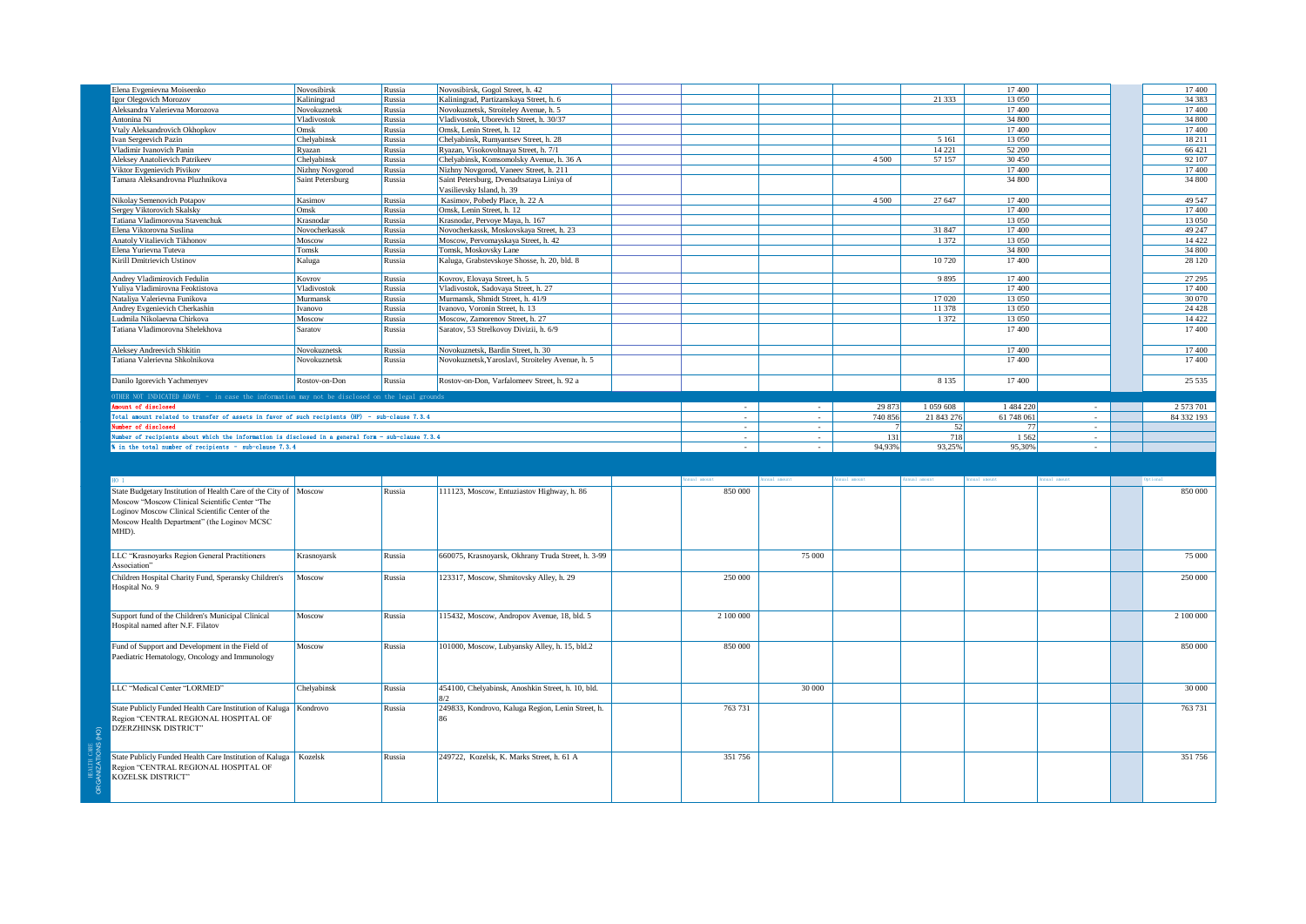| Elena Evgenievna Moiseenko                                                                         | Novosibirsk      | Russia | Novosibirsk, Gogol Street, h. 42                   |           |        |                 |               | 17400      |  | 17 400     |
|----------------------------------------------------------------------------------------------------|------------------|--------|----------------------------------------------------|-----------|--------|-----------------|---------------|------------|--|------------|
| Igor Olegovich Morozov                                                                             | Kaliningrad      | Russia | Kaliningrad, Partizanskaya Street, h. 6            |           |        |                 | 21 333        | 13 0 50    |  | 34 38 3    |
| Aleksandra Valerievna Morozova                                                                     | Novokuznetsk     | Russia | Novokuznetsk, Stroiteley Avenue, h. 5              |           |        |                 |               | 17400      |  | 17400      |
| Antonina Ni                                                                                        | Vladivostok      | Russia | Vladivostok, Uborevich Street, h. 30/37            |           |        |                 |               | 34 800     |  | 34 800     |
| Vtaly Aleksandrovich Okhopkov                                                                      | Omsk             | Russia | Omsk, Lenin Street, h. 12                          |           |        |                 |               | 17400      |  | 17400      |
| Ivan Sergeevich Pazin                                                                              | Chelyabinsk      | Russia | Chelyabinsk, Rumyantsev Street, h. 28              |           |        |                 | 5 1 6 1       | 13 050     |  | 18 211     |
|                                                                                                    |                  |        |                                                    |           |        |                 |               |            |  |            |
| Vladimir Ivanovich Panin                                                                           | Ryazan           | Russia | Ryazan, Visokovoltnaya Street, h. 7/1              |           |        |                 | 14 221        | 52 200     |  | 66 421     |
| Aleksey Anatolievich Patrikeev                                                                     | Chelyabinsk      | Russia | Chelyabinsk, Komsomolsky Avenue, h. 36 A           |           |        | 4 5 0 0         | 57 157        | 30 450     |  | 92 107     |
| Viktor Evgenievich Pivikov                                                                         | Nizhny Novgorod  | Russia | Nizhny Novgorod, Vaneev Street, h. 211             |           |        |                 |               | 17400      |  | 17400      |
| Tamara Aleksandrovna Pluzhnikova                                                                   | Saint Petersburg | Russia | Saint Petersburg, Dvenadtsataya Liniya of          |           |        |                 |               | 34 800     |  | 34 800     |
|                                                                                                    |                  |        | Vasilievsky Island, h. 39                          |           |        |                 |               |            |  |            |
| Nikolay Semenovich Potapov                                                                         | Kasimov          | Russia | Kasimov, Pobedy Place, h. 22 A                     |           |        | 4 5 0 0         | 27 647        | 17400      |  | 49 547     |
| Sergey Viktorovich Skalsky                                                                         | Omsk             |        | Omsk, Lenin Street, h. 12                          |           |        |                 |               | 17400      |  | 17 400     |
|                                                                                                    |                  | Russia |                                                    |           |        |                 |               |            |  |            |
| Tatiana Vladimorovna Stavenchuk                                                                    | Krasnodar        | Russia | Krasnodar, Pervoye Maya, h. 167                    |           |        |                 |               | 13 0 50    |  | 13 050     |
| Elena Viktorovna Suslina                                                                           | Novocherkassk    | Russia | Novocherkassk, Moskovskava Street, h. 23           |           |        |                 | 31 847        | 17400      |  | 49 247     |
| Anatoly Vitalievich Tikhonov                                                                       | Moscow           | Russia | Moscow, Pervomayskaya Street, h. 42                |           |        |                 | 1 3 7 2       | 13 0 50    |  | 14 4 22    |
| Elena Yurievna Tuteva                                                                              | Tomsk            | Russia | Tomsk, Moskovsky Lane                              |           |        |                 |               | 34 800     |  | 34 800     |
| Kirill Dmitrievich Ustinov                                                                         | Kaluga           | Russia | Kaluga, Grabstevskoye Shosse, h. 20, bld. 8        |           |        |                 | 10 720        | 17400      |  | 28 120     |
|                                                                                                    |                  |        |                                                    |           |        |                 |               |            |  |            |
| Andrey Vladimirovich Fedulin                                                                       | Kovrov           | Russia | Kovrov, Elovaya Street, h. 5                       |           |        |                 | 9895          | 17400      |  | 27 29 5    |
| Yuliya Vladimirovna Feoktistova                                                                    | Vladivostok      | Russia | Vladivostok, Sadovaya Street, h. 27                |           |        |                 |               | 17400      |  | 17 400     |
|                                                                                                    |                  |        |                                                    |           |        |                 |               |            |  |            |
| Nataliya Valerievna Funikova                                                                       | Murmansk         | Russia | Murmansk, Shmidt Street, h. 41/9                   |           |        |                 | 17 0 20       | 13 050     |  | 30 070     |
| Andrey Evgenievich Cherkashin                                                                      | Ivanovo          | Russia | Ivanovo, Voronin Street, h. 13                     |           |        |                 | 11 378        | 13 050     |  | 24 4 28    |
| Ludmila Nikolaevna Chirkova                                                                        | Moscow           | Russia | Moscow, Zamorenov Street, h. 27                    |           |        |                 | 1 372         | 13 050     |  | 14 422     |
| Tatiana Vladimorovna Shelekhova                                                                    | Saratov          | Russia | Saratov, 53 Strelkovoy Divizii, h. 6/9             |           |        |                 |               | 17400      |  | 17 400     |
|                                                                                                    |                  |        |                                                    |           |        |                 |               |            |  |            |
| <b>Aleksev Andreevich Shkitin</b>                                                                  | Novokuznetsk     | Russia | Novokuznetsk, Bardin Street, h. 30                 |           |        |                 |               | 17400      |  | 17 400     |
|                                                                                                    |                  |        |                                                    |           |        |                 |               |            |  |            |
| Tatiana Valerievna Shkolnikova                                                                     | Novokuznetsk     | Russia | Novokuznetsk, Yaroslavl, Stroiteley Avenue, h. 5   |           |        |                 |               | 17400      |  | 17 400     |
|                                                                                                    |                  |        |                                                    |           |        |                 |               |            |  |            |
| Danilo Igorevich Yachmenyev                                                                        | Rostov-on-Don    | Russia | Rostov-on-Don, Varfalomeev Street, h. 92 a         |           |        |                 | 8 1 3 5       | 17400      |  | 25 5 35    |
| OTHER NOT INDICATED ABOVE - in case the information may not be disclosed on the legal grounds      |                  |        |                                                    |           |        |                 |               |            |  |            |
| mount of disclosed                                                                                 |                  |        |                                                    |           |        |                 |               |            |  |            |
|                                                                                                    |                  |        |                                                    |           | $\sim$ | 29 873          | 1 0 5 9 6 0 8 | 1484220    |  | 2 573 701  |
| Total amount related to transfer of assets in favor of such recipients (HP) - sub-clause 7.3.4     |                  |        |                                                    | $\sim$    | $\sim$ | 740 856         | 21 843 276    | 61 748 061 |  | 84 332 193 |
| umber of disclosed                                                                                 |                  |        |                                                    | $\sim$    | $\sim$ | $7\phantom{.0}$ | 52            | <b>77</b>  |  |            |
| Number of recipients about which the information is disclosed in a general form - sub-clause 7.3.4 |                  |        |                                                    |           | ÷.     |                 |               |            |  |            |
|                                                                                                    |                  |        |                                                    |           |        |                 | 718           | 1562       |  |            |
| % in the total number of recipients - sub-clause 7.3.4                                             |                  |        |                                                    |           |        | 131             |               |            |  |            |
|                                                                                                    |                  |        |                                                    |           |        | 94,93%          | 93,25%        | 95,30%     |  |            |
|                                                                                                    |                  |        |                                                    |           |        |                 |               |            |  |            |
|                                                                                                    |                  |        |                                                    |           |        |                 |               |            |  |            |
|                                                                                                    |                  |        |                                                    |           |        |                 | nnual amount  | nual amoun |  |            |
| State Budgetary Institution of Health Care of the City of Moscow                                   |                  | Russia | 111123, Moscow, Entuziastov Highway, h. 86         | 850 000   |        |                 |               |            |  | 850 000    |
| Moscow "Moscow Clinical Scientific Center "The                                                     |                  |        |                                                    |           |        |                 |               |            |  |            |
|                                                                                                    |                  |        |                                                    |           |        |                 |               |            |  |            |
| Loginov Moscow Clinical Scientific Center of the                                                   |                  |        |                                                    |           |        |                 |               |            |  |            |
| Moscow Health Department" (the Loginov MCSC                                                        |                  |        |                                                    |           |        |                 |               |            |  |            |
| MHD).                                                                                              |                  |        |                                                    |           |        |                 |               |            |  |            |
|                                                                                                    |                  |        |                                                    |           |        |                 |               |            |  |            |
|                                                                                                    |                  |        |                                                    |           |        |                 |               |            |  |            |
| LLC "Krasnoyarks Region General Practitioners                                                      | Krasnoyarsk      | Russia | 660075, Krasnoyarsk, Okhrany Truda Street, h. 3-99 |           | 75 000 |                 |               |            |  | 75 000     |
| Association"                                                                                       |                  |        |                                                    |           |        |                 |               |            |  |            |
| Children Hospital Charity Fund, Speransky Children's                                               | Moscow           | Russia | 123317, Moscow, Shmitovsky Alley, h. 29            | 250 000   |        |                 |               |            |  | 250 000    |
| Hospital No. 9                                                                                     |                  |        |                                                    |           |        |                 |               |            |  |            |
|                                                                                                    |                  |        |                                                    |           |        |                 |               |            |  |            |
|                                                                                                    |                  |        |                                                    |           |        |                 |               |            |  |            |
| Support fund of the Children's Municipal Clinical                                                  | Moscow           | Russia |                                                    | 2 100 000 |        |                 |               |            |  | 2 100 000  |
|                                                                                                    |                  |        | 115432, Moscow, Andropov Avenue, 18, bld. 5        |           |        |                 |               |            |  |            |
| Hospital named after N.F. Filatov                                                                  |                  |        |                                                    |           |        |                 |               |            |  |            |
|                                                                                                    |                  |        |                                                    |           |        |                 |               |            |  |            |
| Fund of Support and Development in the Field of                                                    | Moscow           | Russia | 101000, Moscow, Lubyansky Alley, h. 15, bld.2      | 850 000   |        |                 |               |            |  | 850 000    |
| Paediatric Hematology, Oncology and Immunology                                                     |                  |        |                                                    |           |        |                 |               |            |  |            |
|                                                                                                    |                  |        |                                                    |           |        |                 |               |            |  |            |
|                                                                                                    |                  |        |                                                    |           |        |                 |               |            |  |            |
| LLC "Medical Center "LORMED"                                                                       | Chelyabinsk      | Russia | 454100, Chelyabinsk, Anoshkin Street, h. 10, bld.  |           |        |                 |               |            |  | 30 000     |
|                                                                                                    |                  |        |                                                    |           | 30 000 |                 |               |            |  |            |
|                                                                                                    |                  |        |                                                    |           |        |                 |               |            |  |            |
| State Publicly Funded Health Care Institution of Kaluga                                            | Kondrovo         | Russia | 249833, Kondrovo, Kaluga Region, Lenin Street, h.  | 763 731   |        |                 |               |            |  | 763 731    |
| Region "CENTRAL REGIONAL HOSPITAL OF                                                               |                  |        |                                                    |           |        |                 |               |            |  |            |
| <b>DZERZHINSK DISTRICT"</b>                                                                        |                  |        |                                                    |           |        |                 |               |            |  |            |
|                                                                                                    |                  |        |                                                    |           |        |                 |               |            |  |            |
|                                                                                                    |                  |        |                                                    |           |        |                 |               |            |  |            |
| State Publicly Funded Health Care Institution of Kaluga                                            | Kozelsk          | Russia | 249722, Kozelsk, K. Marks Street, h. 61 A          | 351 756   |        |                 |               |            |  | 351 756    |
| Region "CENTRAL REGIONAL HOSPITAL OF                                                               |                  |        |                                                    |           |        |                 |               |            |  |            |
| KOZELSK DISTRICT"                                                                                  |                  |        |                                                    |           |        |                 |               |            |  |            |
|                                                                                                    |                  |        |                                                    |           |        |                 |               |            |  |            |

HEALTH CARE